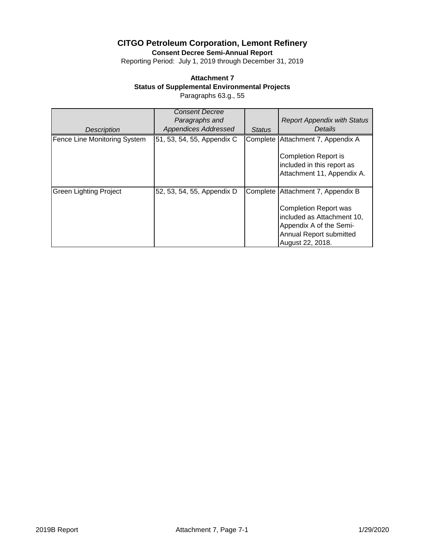**Consent Decree Semi-Annual Report**

Reporting Period: July 1, 2019 through December 31, 2019

## **Attachment 7**

**Status of Supplemental Environmental Projects**

Paragraphs 63.g., 55

|                               | <b>Consent Decree</b><br>Paragraphs and |               | <b>Report Appendix with Status</b>                                                                                                   |
|-------------------------------|-----------------------------------------|---------------|--------------------------------------------------------------------------------------------------------------------------------------|
| <b>Description</b>            | <b>Appendices Addressed</b>             | <b>Status</b> | <b>Details</b>                                                                                                                       |
| Fence Line Monitoring System  | 51, 53, 54, 55, Appendix C              | Complete      | Attachment 7, Appendix A                                                                                                             |
|                               |                                         |               | <b>Completion Report is</b><br>included in this report as<br>Attachment 11, Appendix A.                                              |
| <b>Green Lighting Project</b> | 52, 53, 54, 55, Appendix D              | Complete      | Attachment 7, Appendix B                                                                                                             |
|                               |                                         |               | <b>Completion Report was</b><br>included as Attachment 10,<br>Appendix A of the Semi-<br>Annual Report submitted<br>August 22, 2018. |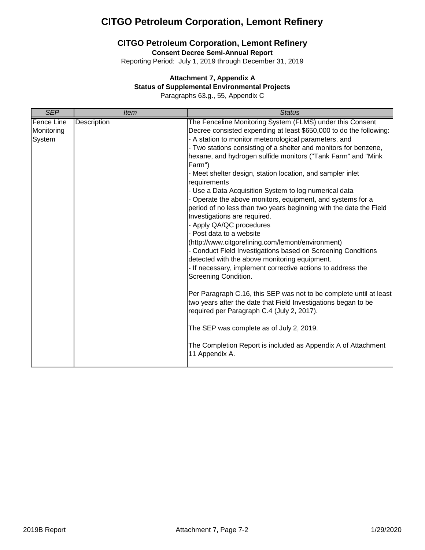### **CITGO Petroleum Corporation, Lemont Refinery**

**Consent Decree Semi-Annual Report**

Reporting Period: July 1, 2019 through December 31, 2019

#### **Attachment 7, Appendix A**

#### **Status of Supplemental Environmental Projects**

Paragraphs 63.g., 55, Appendix C

| <b>SEP</b>                                | <b>Item</b>        | <b>Status</b>                                                                                                                                                                                                                                                                                                                                                                                                                                                                                                                                                                                                                                                                                                                                                                                                                                                                                                                                                                                                                                                                                                                                                                                                                                                                               |
|-------------------------------------------|--------------------|---------------------------------------------------------------------------------------------------------------------------------------------------------------------------------------------------------------------------------------------------------------------------------------------------------------------------------------------------------------------------------------------------------------------------------------------------------------------------------------------------------------------------------------------------------------------------------------------------------------------------------------------------------------------------------------------------------------------------------------------------------------------------------------------------------------------------------------------------------------------------------------------------------------------------------------------------------------------------------------------------------------------------------------------------------------------------------------------------------------------------------------------------------------------------------------------------------------------------------------------------------------------------------------------|
| <b>Fence Line</b><br>Monitoring<br>System | <b>Description</b> | The Fenceline Monitoring System (FLMS) under this Consent<br>Decree consisted expending at least \$650,000 to do the following:<br>- A station to monitor meteorological parameters, and<br>- Two stations consisting of a shelter and monitors for benzene,<br>hexane, and hydrogen sulfide monitors ("Tank Farm" and "Mink<br>Farm")<br>- Meet shelter design, station location, and sampler inlet<br>requirements<br>- Use a Data Acquisition System to log numerical data<br>- Operate the above monitors, equipment, and systems for a<br>period of no less than two years beginning with the date the Field<br>Investigations are required.<br>- Apply QA/QC procedures<br>- Post data to a website<br>(http://www.citgorefining.com/lemont/environment)<br>- Conduct Field Investigations based on Screening Conditions<br>detected with the above monitoring equipment.<br>- If necessary, implement corrective actions to address the<br>Screening Condition.<br>Per Paragraph C.16, this SEP was not to be complete until at least<br>two years after the date that Field Investigations began to be<br>required per Paragraph C.4 (July 2, 2017).<br>The SEP was complete as of July 2, 2019.<br>The Completion Report is included as Appendix A of Attachment<br>11 Appendix A. |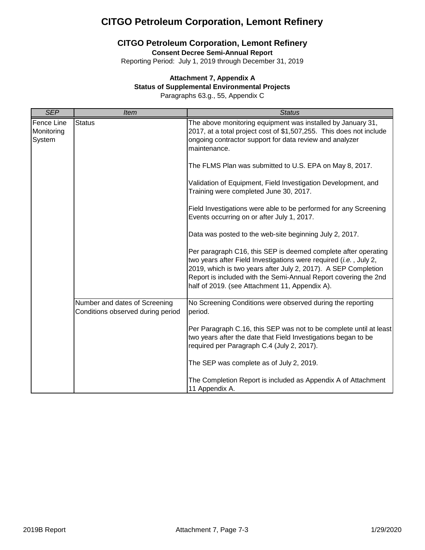## **CITGO Petroleum Corporation, Lemont Refinery**

**Consent Decree Semi-Annual Report**

Reporting Period: July 1, 2019 through December 31, 2019

#### **Attachment 7, Appendix A**

#### **Status of Supplemental Environmental Projects**

Paragraphs 63.g., 55, Appendix C

| <b>SEP</b>                         | <b>Item</b>                                                        | <b>Status</b>                                                                                                                                                                                                                                                                                                              |
|------------------------------------|--------------------------------------------------------------------|----------------------------------------------------------------------------------------------------------------------------------------------------------------------------------------------------------------------------------------------------------------------------------------------------------------------------|
| Fence Line<br>Monitoring<br>System | <b>Status</b>                                                      | The above monitoring equipment was installed by January 31,<br>2017, at a total project cost of \$1,507,255. This does not include<br>ongoing contractor support for data review and analyzer<br>maintenance.                                                                                                              |
|                                    |                                                                    | The FLMS Plan was submitted to U.S. EPA on May 8, 2017.                                                                                                                                                                                                                                                                    |
|                                    |                                                                    | Validation of Equipment, Field Investigation Development, and<br>Training were completed June 30, 2017.                                                                                                                                                                                                                    |
|                                    |                                                                    | Field Investigations were able to be performed for any Screening<br>Events occurring on or after July 1, 2017.                                                                                                                                                                                                             |
|                                    |                                                                    | Data was posted to the web-site beginning July 2, 2017.                                                                                                                                                                                                                                                                    |
|                                    |                                                                    | Per paragraph C16, this SEP is deemed complete after operating<br>two years after Field Investigations were required (i.e., July 2,<br>2019, which is two years after July 2, 2017). A SEP Completion<br>Report is included with the Semi-Annual Report covering the 2nd<br>half of 2019. (see Attachment 11, Appendix A). |
|                                    | Number and dates of Screening<br>Conditions observed during period | No Screening Conditions were observed during the reporting<br>period.                                                                                                                                                                                                                                                      |
|                                    |                                                                    | Per Paragraph C.16, this SEP was not to be complete until at least<br>two years after the date that Field Investigations began to be<br>required per Paragraph C.4 (July 2, 2017).                                                                                                                                         |
|                                    |                                                                    | The SEP was complete as of July 2, 2019.                                                                                                                                                                                                                                                                                   |
|                                    |                                                                    | The Completion Report is included as Appendix A of Attachment<br>11 Appendix A.                                                                                                                                                                                                                                            |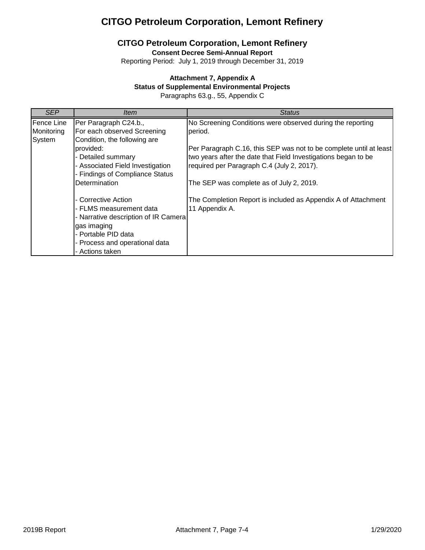### **CITGO Petroleum Corporation, Lemont Refinery**

**Consent Decree Semi-Annual Report**

Reporting Period: July 1, 2019 through December 31, 2019

#### **Attachment 7, Appendix A**

#### **Status of Supplemental Environmental Projects**

Paragraphs 63.g., 55, Appendix C

| <b>SEP</b> | ltem                                 | Status                                                             |
|------------|--------------------------------------|--------------------------------------------------------------------|
| Fence Line | Per Paragraph C24.b.,                | No Screening Conditions were observed during the reporting         |
| Monitoring | For each observed Screening          | period.                                                            |
| System     | Condition, the following are         |                                                                    |
|            | provided:                            | Per Paragraph C.16, this SEP was not to be complete until at least |
|            | - Detailed summary                   | two years after the date that Field Investigations began to be     |
|            | - Associated Field Investigation     | required per Paragraph C.4 (July 2, 2017).                         |
|            | - Findings of Compliance Status      |                                                                    |
|            | Determination                        | The SEP was complete as of July 2, 2019.                           |
|            |                                      |                                                                    |
|            | - Corrective Action                  | The Completion Report is included as Appendix A of Attachment      |
|            | - FLMS measurement data              | 11 Appendix A.                                                     |
|            | - Narrative description of IR Camera |                                                                    |
|            | gas imaging                          |                                                                    |
|            | - Portable PID data                  |                                                                    |
|            | - Process and operational data       |                                                                    |
|            | - Actions taken                      |                                                                    |